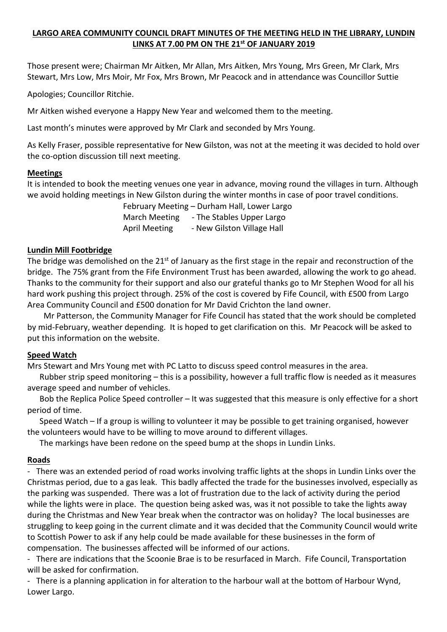### **LARGO AREA COMMUNITY COUNCIL DRAFT MINUTES OF THE MEETING HELD IN THE LIBRARY, LUNDIN LINKS AT 7.00 PM ON THE 21st OF JANUARY 2019**

Those present were; Chairman Mr Aitken, Mr Allan, Mrs Aitken, Mrs Young, Mrs Green, Mr Clark, Mrs Stewart, Mrs Low, Mrs Moir, Mr Fox, Mrs Brown, Mr Peacock and in attendance was Councillor Suttie

Apologies; Councillor Ritchie.

Mr Aitken wished everyone a Happy New Year and welcomed them to the meeting.

Last month's minutes were approved by Mr Clark and seconded by Mrs Young.

As Kelly Fraser, possible representative for New Gilston, was not at the meeting it was decided to hold over the co-option discussion till next meeting.

#### **Meetings**

It is intended to book the meeting venues one year in advance, moving round the villages in turn. Although we avoid holding meetings in New Gilston during the winter months in case of poor travel conditions.

 February Meeting – Durham Hall, Lower Largo March Meeting - The Stables Upper Largo April Meeting - New Gilston Village Hall

### **Lundin Mill Footbridge**

The bridge was demolished on the  $21^{st}$  of January as the first stage in the repair and reconstruction of the bridge. The 75% grant from the Fife Environment Trust has been awarded, allowing the work to go ahead. Thanks to the community for their support and also our grateful thanks go to Mr Stephen Wood for all his hard work pushing this project through. 25% of the cost is covered by Fife Council, with £500 from Largo Area Community Council and £500 donation for Mr David Crichton the land owner.

 Mr Patterson, the Community Manager for Fife Council has stated that the work should be completed by mid-February, weather depending. It is hoped to get clarification on this. Mr Peacock will be asked to put this information on the website.

# **Speed Watch**

Mrs Stewart and Mrs Young met with PC Latto to discuss speed control measures in the area.

 Rubber strip speed monitoring – this is a possibility, however a full traffic flow is needed as it measures average speed and number of vehicles.

 Bob the Replica Police Speed controller – It was suggested that this measure is only effective for a short period of time.

 Speed Watch – If a group is willing to volunteer it may be possible to get training organised, however the volunteers would have to be willing to move around to different villages.

The markings have been redone on the speed bump at the shops in Lundin Links.

# **Roads**

- There was an extended period of road works involving traffic lights at the shops in Lundin Links over the Christmas period, due to a gas leak. This badly affected the trade for the businesses involved, especially as the parking was suspended. There was a lot of frustration due to the lack of activity during the period while the lights were in place. The question being asked was, was it not possible to take the lights away during the Christmas and New Year break when the contractor was on holiday? The local businesses are struggling to keep going in the current climate and it was decided that the Community Council would write to Scottish Power to ask if any help could be made available for these businesses in the form of compensation. The businesses affected will be informed of our actions.

- There are indications that the Scoonie Brae is to be resurfaced in March. Fife Council, Transportation will be asked for confirmation.

- There is a planning application in for alteration to the harbour wall at the bottom of Harbour Wynd, Lower Largo.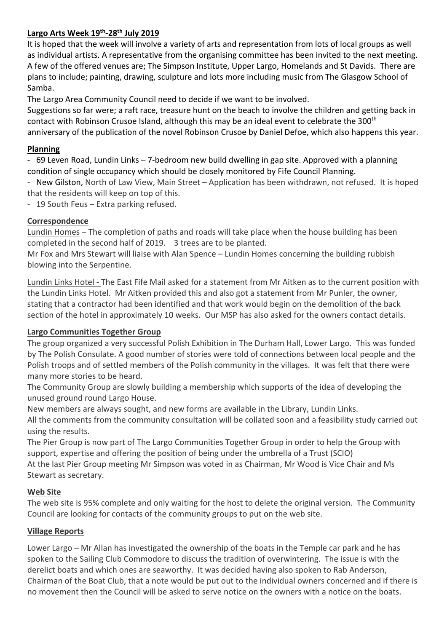### **Largo Arts Week 19th-28th July 2019**

It is hoped that the week will involve a variety of arts and representation from lots of local groups as well as individual artists. A representative from the organising committee has been invited to the next meeting. A few of the offered venues are; The Simpson Institute, Upper Largo, Homelands and St Davids. There are plans to include; painting, drawing, sculpture and lots more including music from The Glasgow School of Samba.

The Largo Area Community Council need to decide if we want to be involved.

Suggestions so far were; a raft race, treasure hunt on the beach to involve the children and getting back in contact with Robinson Crusoe Island, although this may be an ideal event to celebrate the 300<sup>th</sup> anniversary of the publication of the novel Robinson Crusoe by Daniel Defoe, which also happens this year.

### **Planning**

- 69 Leven Road, Lundin Links – 7-bedroom new build dwelling in gap site. Approved with a planning condition of single occupancy which should be closely monitored by Fife Council Planning.

- New Gilston, North of Law View, Main Street – Application has been withdrawn, not refused. It is hoped that the residents will keep on top of this.

- 19 South Feus – Extra parking refused.

### **Correspondence**

Lundin Homes – The completion of paths and roads will take place when the house building has been completed in the second half of 2019. 3 trees are to be planted.

Mr Fox and Mrs Stewart will liaise with Alan Spence – Lundin Homes concerning the building rubbish blowing into the Serpentine.

Lundin Links Hotel - The East Fife Mail asked for a statement from Mr Aitken as to the current position with the Lundin Links Hotel. Mr Aitken provided this and also got a statement from Mr Punler, the owner, stating that a contractor had been identified and that work would begin on the demolition of the back section of the hotel in approximately 10 weeks. Our MSP has also asked for the owners contact details.

# **Largo Communities Together Group**

The group organized a very successful Polish Exhibition in The Durham Hall, Lower Largo. This was funded by The Polish Consulate. A good number of stories were told of connections between local people and the Polish troops and of settled members of the Polish community in the villages. It was felt that there were many more stories to be heard.

The Community Group are slowly building a membership which supports of the idea of developing the unused ground round Largo House.

New members are always sought, and new forms are available in the Library, Lundin Links.

All the comments from the community consultation will be collated soon and a feasibility study carried out using the results.

The Pier Group is now part of The Largo Communities Together Group in order to help the Group with support, expertise and offering the position of being under the umbrella of a Trust (SCIO)

At the last Pier Group meeting Mr Simpson was voted in as Chairman, Mr Wood is Vice Chair and Ms Stewart as secretary.

# **Web Site**

The web site is 95% complete and only waiting for the host to delete the original version. The Community Council are looking for contacts of the community groups to put on the web site.

# **Village Reports**

Lower Largo – Mr Allan has investigated the ownership of the boats in the Temple car park and he has spoken to the Sailing Club Commodore to discuss the tradition of overwintering. The issue is with the derelict boats and which ones are seaworthy. It was decided having also spoken to Rab Anderson, Chairman of the Boat Club, that a note would be put out to the individual owners concerned and if there is no movement then the Council will be asked to serve notice on the owners with a notice on the boats.